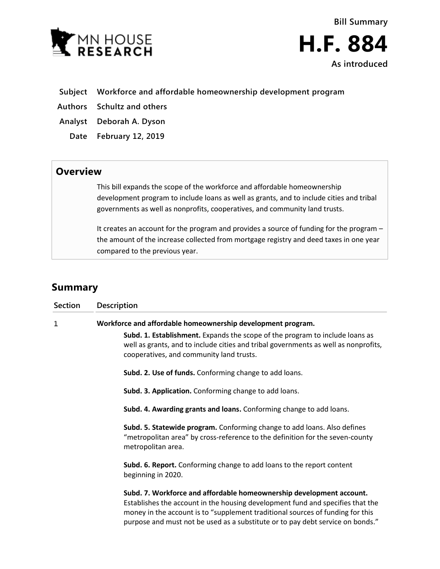

**As introduced**

- **Subject Workforce and affordable homeownership development program**
- **Authors Schultz and others**
- **Analyst Deborah A. Dyson**
	- **Date February 12, 2019**

## **Overview**

This bill expands the scope of the workforce and affordable homeownership development program to include loans as well as grants, and to include cities and tribal governments as well as nonprofits, cooperatives, and community land trusts.

It creates an account for the program and provides a source of funding for the program – the amount of the increase collected from mortgage registry and deed taxes in one year compared to the previous year.

## **Summary**

| <b>Section</b> | Description                                                                                                                                                                                                                                                                                                                |
|----------------|----------------------------------------------------------------------------------------------------------------------------------------------------------------------------------------------------------------------------------------------------------------------------------------------------------------------------|
| 1              | Workforce and affordable homeownership development program.                                                                                                                                                                                                                                                                |
|                | Subd. 1. Establishment. Expands the scope of the program to include loans as<br>well as grants, and to include cities and tribal governments as well as nonprofits,<br>cooperatives, and community land trusts.                                                                                                            |
|                | Subd. 2. Use of funds. Conforming change to add loans.                                                                                                                                                                                                                                                                     |
|                | Subd. 3. Application. Conforming change to add loans.                                                                                                                                                                                                                                                                      |
|                | Subd. 4. Awarding grants and loans. Conforming change to add loans.                                                                                                                                                                                                                                                        |
|                | Subd. 5. Statewide program. Conforming change to add loans. Also defines<br>"metropolitan area" by cross-reference to the definition for the seven-county<br>metropolitan area.                                                                                                                                            |
|                | Subd. 6. Report. Conforming change to add loans to the report content<br>beginning in 2020.                                                                                                                                                                                                                                |
|                | Subd. 7. Workforce and affordable homeownership development account.<br>Establishes the account in the housing development fund and specifies that the<br>money in the account is to "supplement traditional sources of funding for this<br>purpose and must not be used as a substitute or to pay debt service on bonds." |